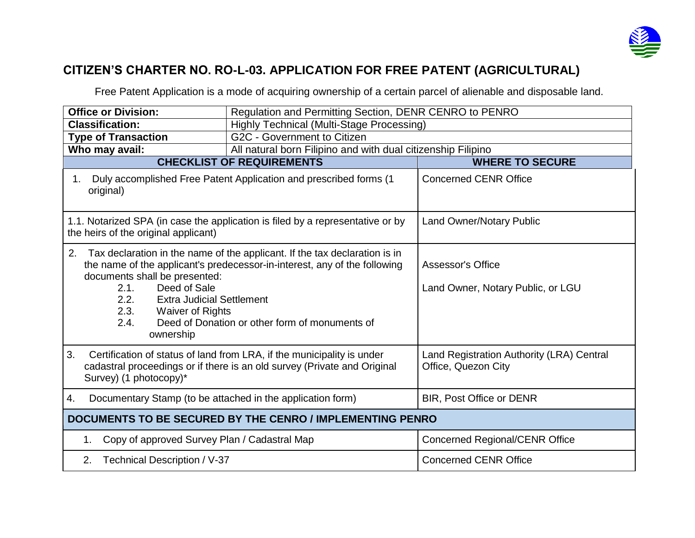

## **CITIZEN'S CHARTER NO. RO-L-03. APPLICATION FOR FREE PATENT (AGRICULTURAL)**

Free Patent Application is a mode of acquiring ownership of a certain parcel of alienable and disposable land.

| <b>Office or Division:</b>                                                                                                                                                                                                                                                                                                                                         | Regulation and Permitting Section, DENR CENRO to PENRO                                        |                                                                  |  |  |
|--------------------------------------------------------------------------------------------------------------------------------------------------------------------------------------------------------------------------------------------------------------------------------------------------------------------------------------------------------------------|-----------------------------------------------------------------------------------------------|------------------------------------------------------------------|--|--|
| <b>Classification:</b>                                                                                                                                                                                                                                                                                                                                             | <b>Highly Technical (Multi-Stage Processing)</b>                                              |                                                                  |  |  |
| <b>Type of Transaction</b>                                                                                                                                                                                                                                                                                                                                         | G2C - Government to Citizen                                                                   |                                                                  |  |  |
| Who may avail:                                                                                                                                                                                                                                                                                                                                                     | All natural born Filipino and with dual citizenship Filipino                                  |                                                                  |  |  |
|                                                                                                                                                                                                                                                                                                                                                                    | <b>CHECKLIST OF REQUIREMENTS</b>                                                              | <b>WHERE TO SECURE</b>                                           |  |  |
| Duly accomplished Free Patent Application and prescribed forms (1)<br>1.<br>original)                                                                                                                                                                                                                                                                              |                                                                                               | <b>Concerned CENR Office</b>                                     |  |  |
| 1.1. Notarized SPA (in case the application is filed by a representative or by<br>the heirs of the original applicant)                                                                                                                                                                                                                                             |                                                                                               | <b>Land Owner/Notary Public</b>                                  |  |  |
| 2.<br>Tax declaration in the name of the applicant. If the tax declaration is in<br>the name of the applicant's predecessor-in-interest, any of the following<br>documents shall be presented:<br>Deed of Sale<br>2.1.<br>2.2.<br><b>Extra Judicial Settlement</b><br>2.3. Waiver of Rights<br>Deed of Donation or other form of monuments of<br>2.4.<br>ownership |                                                                                               | <b>Assessor's Office</b><br>Land Owner, Notary Public, or LGU    |  |  |
| 3.<br>Certification of status of land from LRA, if the municipality is under<br>cadastral proceedings or if there is an old survey (Private and Original<br>Survey) (1 photocopy)*                                                                                                                                                                                 |                                                                                               | Land Registration Authority (LRA) Central<br>Office, Quezon City |  |  |
| 4.                                                                                                                                                                                                                                                                                                                                                                 | <b>BIR, Post Office or DENR</b><br>Documentary Stamp (to be attached in the application form) |                                                                  |  |  |
|                                                                                                                                                                                                                                                                                                                                                                    | DOCUMENTS TO BE SECURED BY THE CENRO / IMPLEMENTING PENRO                                     |                                                                  |  |  |
| Copy of approved Survey Plan / Cadastral Map<br>1.                                                                                                                                                                                                                                                                                                                 |                                                                                               | <b>Concerned Regional/CENR Office</b>                            |  |  |
| <b>Technical Description / V-37</b><br>2.                                                                                                                                                                                                                                                                                                                          |                                                                                               | <b>Concerned CENR Office</b>                                     |  |  |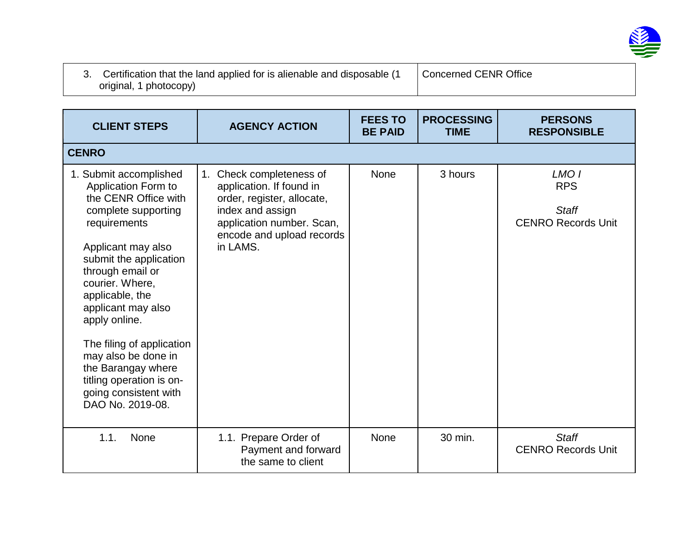

| 3. Certification that the land applied for is alienable and disposable (1 | Concerned CENR Office |
|---------------------------------------------------------------------------|-----------------------|
| original, 1 photocopy)                                                    |                       |

| <b>CLIENT STEPS</b>                                                                                                                                                                                                                                                                                                                                                                                              | <b>AGENCY ACTION</b>                                                                                                                                                         | <b>FEES TO</b><br><b>BE PAID</b> | <b>PROCESSING</b><br><b>TIME</b> | <b>PERSONS</b><br><b>RESPONSIBLE</b>                                        |
|------------------------------------------------------------------------------------------------------------------------------------------------------------------------------------------------------------------------------------------------------------------------------------------------------------------------------------------------------------------------------------------------------------------|------------------------------------------------------------------------------------------------------------------------------------------------------------------------------|----------------------------------|----------------------------------|-----------------------------------------------------------------------------|
| <b>CENRO</b>                                                                                                                                                                                                                                                                                                                                                                                                     |                                                                                                                                                                              |                                  |                                  |                                                                             |
| 1. Submit accomplished<br>Application Form to<br>the CENR Office with<br>complete supporting<br>requirements<br>Applicant may also<br>submit the application<br>through email or<br>courier. Where,<br>applicable, the<br>applicant may also<br>apply online.<br>The filing of application<br>may also be done in<br>the Barangay where<br>titling operation is on-<br>going consistent with<br>DAO No. 2019-08. | 1. Check completeness of<br>application. If found in<br>order, register, allocate,<br>index and assign<br>application number. Scan,<br>encode and upload records<br>in LAMS. | None                             | 3 hours                          | LMO <sub>1</sub><br><b>RPS</b><br><b>Staff</b><br><b>CENRO Records Unit</b> |
| 1.1.<br>None                                                                                                                                                                                                                                                                                                                                                                                                     | 1.1. Prepare Order of<br>Payment and forward<br>the same to client                                                                                                           | None                             | 30 min.                          | <b>Staff</b><br><b>CENRO Records Unit</b>                                   |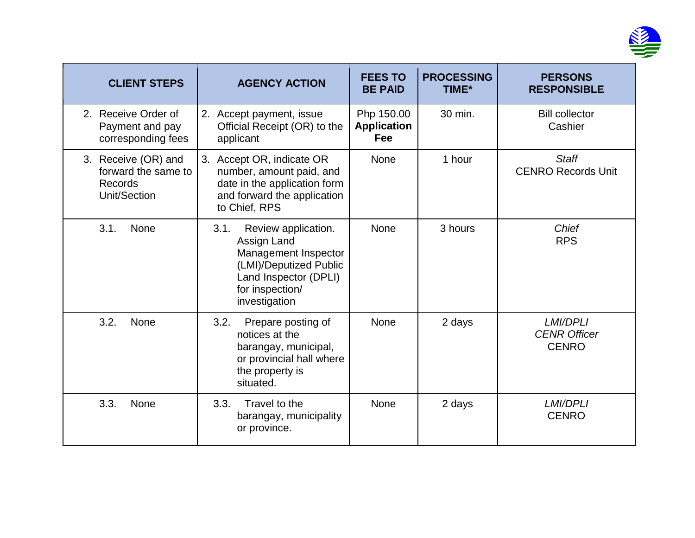

| <b>CLIENT STEPS</b>                                                   | <b>AGENCY ACTION</b>                                                                                                                                      | <b>FEES TO</b><br><b>BE PAID</b>        | <b>PROCESSING</b><br>TIME* | <b>PERSONS</b><br><b>RESPONSIBLE</b>                   |
|-----------------------------------------------------------------------|-----------------------------------------------------------------------------------------------------------------------------------------------------------|-----------------------------------------|----------------------------|--------------------------------------------------------|
| 2. Receive Order of<br>Payment and pay<br>corresponding fees          | 2. Accept payment, issue<br>Official Receipt (OR) to the<br>applicant                                                                                     | Php 150.00<br><b>Application</b><br>Fee | 30 min.                    | <b>Bill collector</b><br>Cashier                       |
| 3. Receive (OR) and<br>forward the same to<br>Records<br>Unit/Section | 3. Accept OR, indicate OR<br>number, amount paid, and<br>date in the application form<br>and forward the application<br>to Chief, RPS                     | <b>None</b>                             | 1 hour                     | <b>Staff</b><br><b>CENRO Records Unit</b>              |
| 3.1.<br>None                                                          | Review application.<br>3.1.<br>Assign Land<br>Management Inspector<br>(LMI)/Deputized Public<br>Land Inspector (DPLI)<br>for inspection/<br>investigation | <b>None</b>                             | 3 hours                    | Chief<br><b>RPS</b>                                    |
| 3.2.<br>None                                                          | 3.2.<br>Prepare posting of<br>notices at the<br>barangay, municipal,<br>or provincial hall where<br>the property is<br>situated.                          | <b>None</b>                             | 2 days                     | <b>LMI/DPLI</b><br><b>CENR Officer</b><br><b>CENRO</b> |
| 3.3.<br>None                                                          | 3.3.<br>Travel to the<br>barangay, municipality<br>or province.                                                                                           | None                                    | 2 days                     | <b>LMI/DPLI</b><br><b>CENRO</b>                        |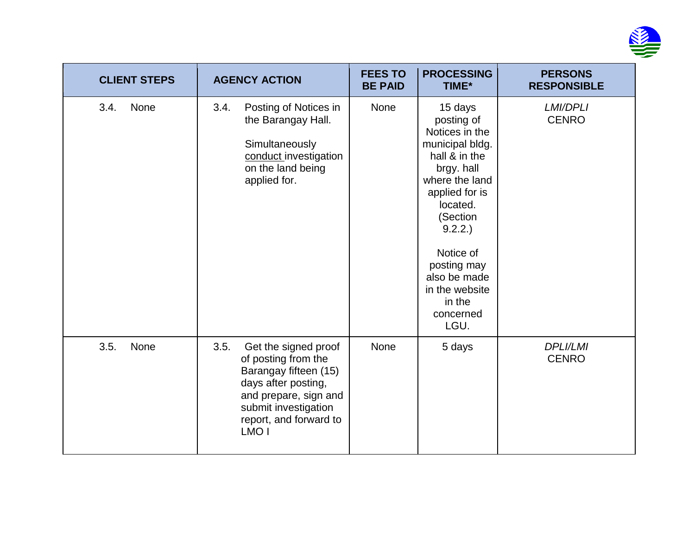

| <b>CLIENT STEPS</b> | <b>AGENCY ACTION</b>                                                                                                                                                                               | <b>FEES TO</b><br><b>BE PAID</b> | <b>PROCESSING</b><br>TIME*                                                                                                                                                                                                                                   | <b>PERSONS</b><br><b>RESPONSIBLE</b> |
|---------------------|----------------------------------------------------------------------------------------------------------------------------------------------------------------------------------------------------|----------------------------------|--------------------------------------------------------------------------------------------------------------------------------------------------------------------------------------------------------------------------------------------------------------|--------------------------------------|
| 3.4.<br>None        | Posting of Notices in<br>3.4.<br>the Barangay Hall.<br>Simultaneously<br>conduct investigation<br>on the land being<br>applied for.                                                                | None                             | 15 days<br>posting of<br>Notices in the<br>municipal bldg.<br>hall & in the<br>brgy. hall<br>where the land<br>applied for is<br>located.<br>(Section<br>9.2.2.<br>Notice of<br>posting may<br>also be made<br>in the website<br>in the<br>concerned<br>LGU. | LMI/DPLI<br><b>CENRO</b>             |
| 3.5.<br>None        | 3.5.<br>Get the signed proof<br>of posting from the<br>Barangay fifteen (15)<br>days after posting,<br>and prepare, sign and<br>submit investigation<br>report, and forward to<br>LMO <sub>I</sub> | <b>None</b>                      | 5 days                                                                                                                                                                                                                                                       | <b>DPLI/LMI</b><br><b>CENRO</b>      |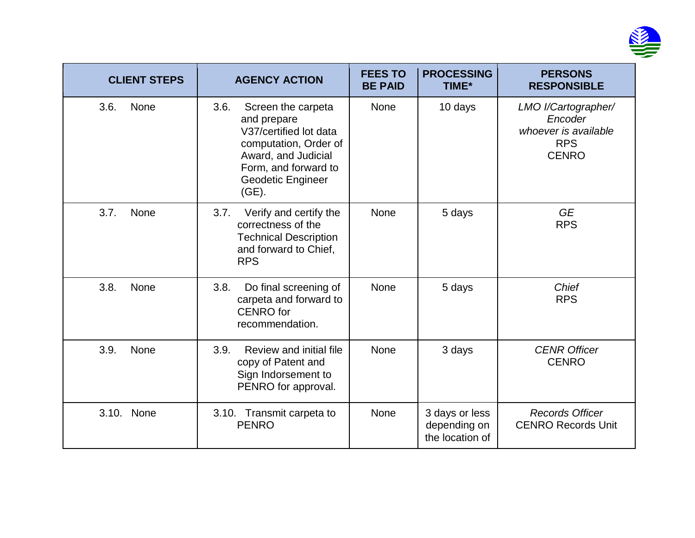

| <b>CLIENT STEPS</b> | <b>AGENCY ACTION</b>                                                                                                                                                             | <b>FEES TO</b><br><b>BE PAID</b> | <b>PROCESSING</b><br><b>TIME*</b>                 | <b>PERSONS</b><br><b>RESPONSIBLE</b>                                                 |
|---------------------|----------------------------------------------------------------------------------------------------------------------------------------------------------------------------------|----------------------------------|---------------------------------------------------|--------------------------------------------------------------------------------------|
| 3.6.<br>None        | 3.6.<br>Screen the carpeta<br>and prepare<br>V37/certified lot data<br>computation, Order of<br>Award, and Judicial<br>Form, and forward to<br><b>Geodetic Engineer</b><br>(GE). | <b>None</b>                      | 10 days                                           | LMO I/Cartographer/<br>Encoder<br>whoever is available<br><b>RPS</b><br><b>CENRO</b> |
| 3.7.<br>None        | 3.7.<br>Verify and certify the<br>correctness of the<br><b>Technical Description</b><br>and forward to Chief,<br><b>RPS</b>                                                      | None                             | 5 days                                            | <b>GE</b><br><b>RPS</b>                                                              |
| 3.8.<br>None        | 3.8.<br>Do final screening of<br>carpeta and forward to<br><b>CENRO</b> for<br>recommendation.                                                                                   | None                             | 5 days                                            | Chief<br><b>RPS</b>                                                                  |
| 3.9.<br>None        | 3.9.<br>Review and initial file<br>copy of Patent and<br>Sign Indorsement to<br>PENRO for approval.                                                                              | <b>None</b>                      | 3 days                                            | <b>CENR Officer</b><br><b>CENRO</b>                                                  |
| None<br>3.10.       | 3.10. Transmit carpeta to<br><b>PENRO</b>                                                                                                                                        | <b>None</b>                      | 3 days or less<br>depending on<br>the location of | <b>Records Officer</b><br><b>CENRO Records Unit</b>                                  |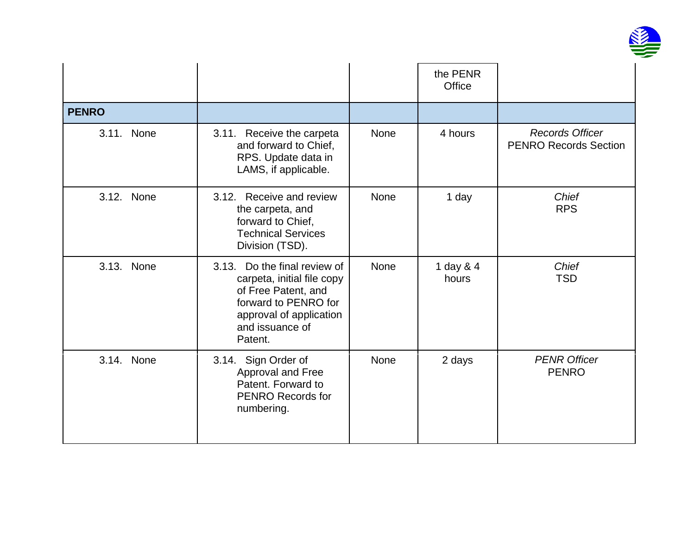

|              |                                                                                                                                                                    |             | the PENR<br>Office |                                                        |
|--------------|--------------------------------------------------------------------------------------------------------------------------------------------------------------------|-------------|--------------------|--------------------------------------------------------|
| <b>PENRO</b> |                                                                                                                                                                    |             |                    |                                                        |
| 3.11. None   | 3.11. Receive the carpeta<br>and forward to Chief,<br>RPS. Update data in<br>LAMS, if applicable.                                                                  | <b>None</b> | 4 hours            | <b>Records Officer</b><br><b>PENRO Records Section</b> |
| 3.12. None   | 3.12. Receive and review<br>the carpeta, and<br>forward to Chief,<br><b>Technical Services</b><br>Division (TSD).                                                  | <b>None</b> | 1 day              | <b>Chief</b><br><b>RPS</b>                             |
| 3.13. None   | 3.13. Do the final review of<br>carpeta, initial file copy<br>of Free Patent, and<br>forward to PENRO for<br>approval of application<br>and issuance of<br>Patent. | None        | 1 day & 4<br>hours | Chief<br><b>TSD</b>                                    |
| 3.14. None   | 3.14. Sign Order of<br>Approval and Free<br>Patent. Forward to<br><b>PENRO Records for</b><br>numbering.                                                           | None        | 2 days             | <b>PENR Officer</b><br><b>PENRO</b>                    |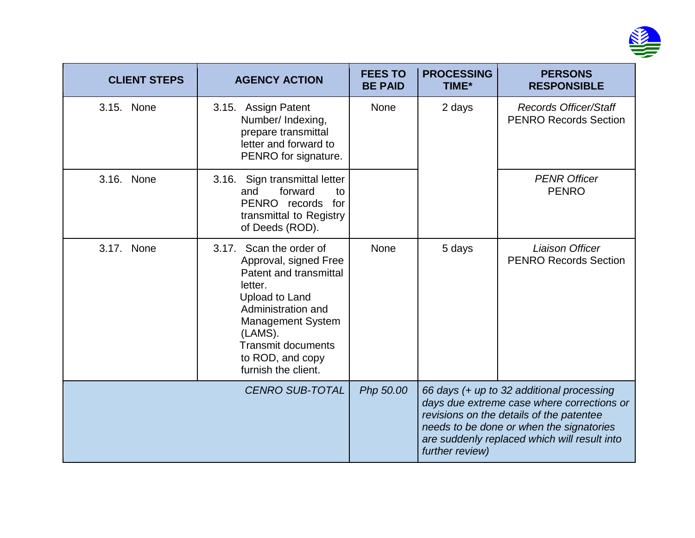

| <b>CLIENT STEPS</b> | <b>AGENCY ACTION</b>                                                                                                                                                                                                                            | <b>FEES TO</b><br><b>BE PAID</b>                                                                                                                                                                                                                                | <b>PROCESSING</b><br>TIME* | <b>PERSONS</b><br><b>RESPONSIBLE</b>                         |
|---------------------|-------------------------------------------------------------------------------------------------------------------------------------------------------------------------------------------------------------------------------------------------|-----------------------------------------------------------------------------------------------------------------------------------------------------------------------------------------------------------------------------------------------------------------|----------------------------|--------------------------------------------------------------|
| 3.15. None          | 3.15. Assign Patent<br>Number/ Indexing,<br>prepare transmittal<br>letter and forward to<br>PENRO for signature.                                                                                                                                | <b>None</b>                                                                                                                                                                                                                                                     | 2 days                     | <b>Records Officer/Staff</b><br><b>PENRO Records Section</b> |
| 3.16. None          | 3.16. Sign transmittal letter<br>forward<br>and<br>to<br>PENRO records<br>for<br>transmittal to Registry<br>of Deeds (ROD).                                                                                                                     |                                                                                                                                                                                                                                                                 |                            | <b>PENR Officer</b><br><b>PENRO</b>                          |
| 3.17. None          | Scan the order of<br>3.17.<br>Approval, signed Free<br>Patent and transmittal<br>letter.<br>Upload to Land<br>Administration and<br><b>Management System</b><br>(LAMS).<br><b>Transmit documents</b><br>to ROD, and copy<br>furnish the client. | <b>None</b>                                                                                                                                                                                                                                                     | 5 days                     | <b>Liaison Officer</b><br><b>PENRO Records Section</b>       |
|                     | <b>CENRO SUB-TOTAL</b>                                                                                                                                                                                                                          | Php 50.00<br>66 days (+ up to 32 additional processing<br>days due extreme case where corrections or<br>revisions on the details of the patentee<br>needs to be done or when the signatories<br>are suddenly replaced which will result into<br>further review) |                            |                                                              |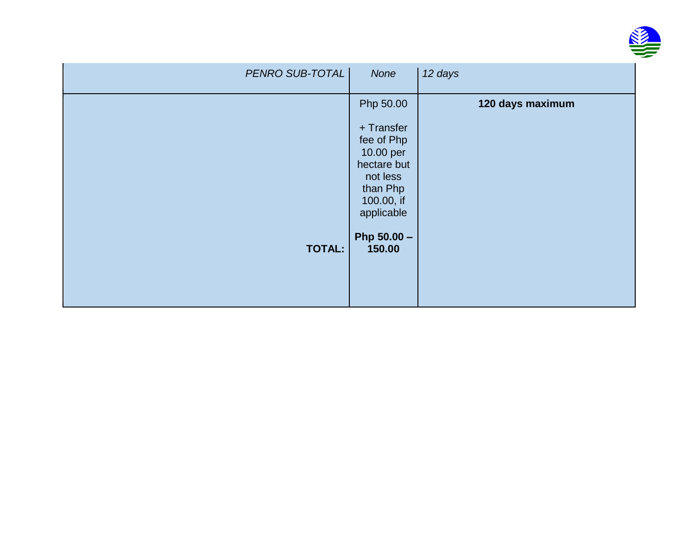

| PENRO SUB-TOTAL | None                                                                                                                  | 12 days          |
|-----------------|-----------------------------------------------------------------------------------------------------------------------|------------------|
|                 | Php 50.00<br>+ Transfer<br>fee of Php<br>10.00 per<br>hectare but<br>not less<br>than Php<br>100.00, if<br>applicable | 120 days maximum |
| <b>TOTAL:</b>   | Php $50.00 -$<br>150.00                                                                                               |                  |